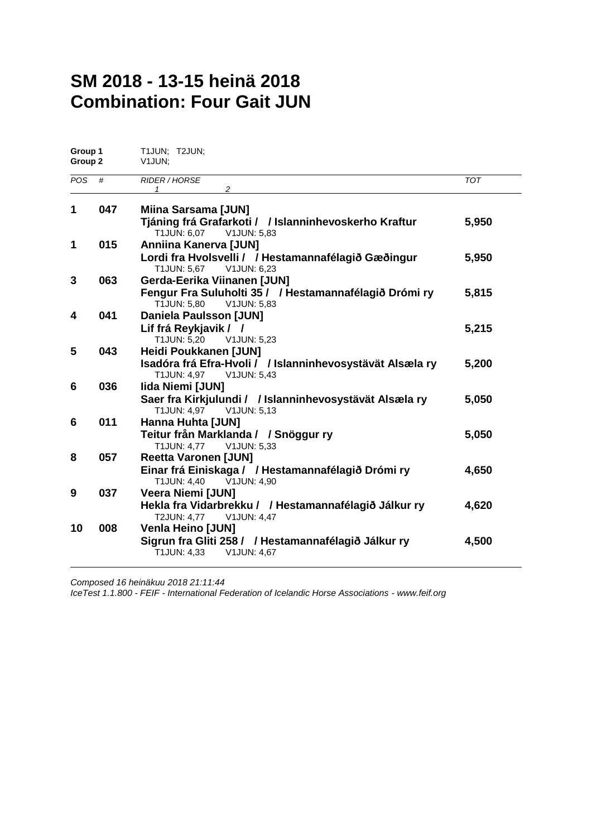## **SM 2018 - 13-15 heinä 2018 Combination: Four Gait JUN**

| Group 1<br>Group 2 |     | T1JUN; T2JUN;<br>V1JUN;                                                                  |            |  |  |  |
|--------------------|-----|------------------------------------------------------------------------------------------|------------|--|--|--|
| <b>POS</b>         | #   | <b>RIDER / HORSE</b><br>2<br>1                                                           | <b>TOT</b> |  |  |  |
| 1                  | 047 | <b>Miina Sarsama [JUN]</b>                                                               |            |  |  |  |
|                    |     | Tjáning frá Grafarkoti / / Islanninhevoskerho Kraftur<br>T1JUN: 6,07 V1JUN: 5,83         | 5,950      |  |  |  |
| 1                  | 015 | Anniina Kanerva [JUN]                                                                    |            |  |  |  |
|                    |     | Lordi fra Hvolsvelli / / Hestamannafélagið Gæðingur<br>T1JUN: 5,67<br>V1JUN: 6,23        | 5,950      |  |  |  |
| 3                  | 063 | <b>Gerda-Eerika Viinanen [JUN]</b>                                                       |            |  |  |  |
|                    |     | Fengur Fra Suluholti 35 / / Hestamannafélagið Drómi ry<br>T1JUN: 5,80<br>V1JUN: 5,83     | 5,815      |  |  |  |
| 4                  | 041 | <b>Daniela Paulsson [JUN]</b>                                                            |            |  |  |  |
|                    |     | Lif frá Reykjavik / /                                                                    | 5,215      |  |  |  |
| 5                  | 043 | T1JUN: 5,20<br>V1JUN: 5,23<br>Heidi Poukkanen [JUN]                                      |            |  |  |  |
|                    |     | Isadóra frá Efra-Hvoli / / Islanninhevosystävät Alsæla ry                                | 5,200      |  |  |  |
|                    |     | T1JUN: 4,97 V1JUN: 5,43                                                                  |            |  |  |  |
| 6                  | 036 | <b>Iida Niemi [JUN]</b>                                                                  |            |  |  |  |
|                    |     | Saer fra Kirkjulundi / / Islanninhevosystävät Alsæla ry<br>T1JUN: 4,97 V1JUN: 5,13       | 5,050      |  |  |  |
| 6                  | 011 | Hanna Huhta [JUN]                                                                        |            |  |  |  |
|                    |     | Teitur från Marklanda / / Snöggur ry                                                     | 5,050      |  |  |  |
|                    |     | T1JUN: 4,77 V1JUN: 5,33                                                                  |            |  |  |  |
| 8                  |     | 057<br><b>Reetta Varonen [JUN]</b><br>Einar frá Einiskaga / / Hestamannafélagið Drómi ry |            |  |  |  |
|                    |     | T1JUN: 4,40 V1JUN: 4,90                                                                  | 4,650      |  |  |  |
| 9                  | 037 | <b>Veera Niemi [JUN]</b>                                                                 |            |  |  |  |
|                    |     | Hekla fra Vidarbrekku / / Hestamannafélagið Jálkur ry<br>T2JUN: 4,77 V1JUN: 4,47         | 4,620      |  |  |  |
| 10                 | 008 | <b>Venla Heino [JUN]</b>                                                                 |            |  |  |  |
|                    |     | Sigrun fra Gliti 258 / / Hestamannafélagið Jálkur ry<br>T1JUN: 4,33<br>V1JUN: 4,67       | 4,500      |  |  |  |

*Composed 16 heinäkuu 2018 21:11:44*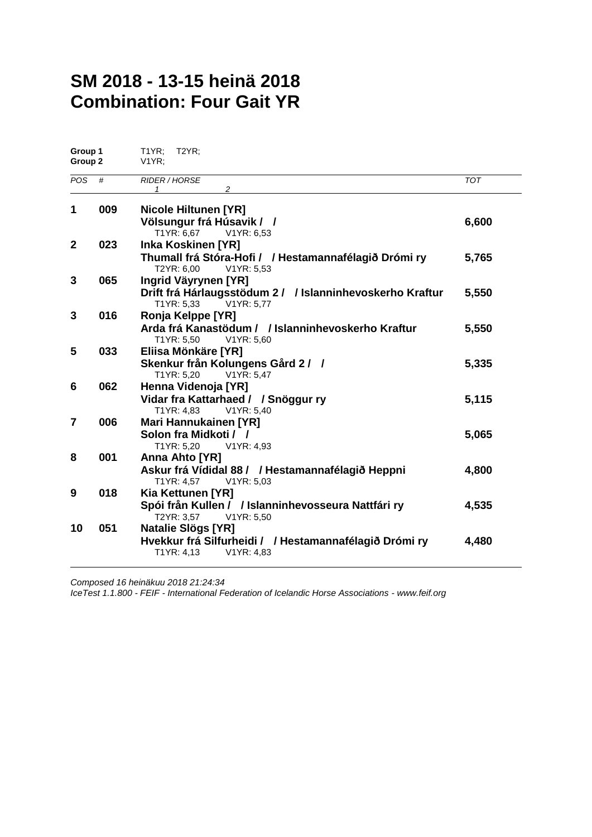## **SM 2018 - 13-15 heinä 2018 Combination: Four Gait YR**

|     | $T1YR$ ; $T2YR$ ;<br>V1YR                                                         |                                                                                                                                                                                                                                                                                                                                                                                                                                                                                                                                                                                                      |
|-----|-----------------------------------------------------------------------------------|------------------------------------------------------------------------------------------------------------------------------------------------------------------------------------------------------------------------------------------------------------------------------------------------------------------------------------------------------------------------------------------------------------------------------------------------------------------------------------------------------------------------------------------------------------------------------------------------------|
| #   | <b>RIDER / HORSE</b><br>2<br>1                                                    | <b>TOT</b>                                                                                                                                                                                                                                                                                                                                                                                                                                                                                                                                                                                           |
| 009 | <b>Nicole Hiltunen [YR]</b>                                                       |                                                                                                                                                                                                                                                                                                                                                                                                                                                                                                                                                                                                      |
|     |                                                                                   | 6,600                                                                                                                                                                                                                                                                                                                                                                                                                                                                                                                                                                                                |
| 023 | <b>Inka Koskinen [YR]</b>                                                         |                                                                                                                                                                                                                                                                                                                                                                                                                                                                                                                                                                                                      |
|     | Thumall frá Stóra-Hofi / / Hestamannafélagið Drómi ry<br>T2YR: 6,00<br>V1YR: 5,53 | 5,765                                                                                                                                                                                                                                                                                                                                                                                                                                                                                                                                                                                                |
| 065 | Ingrid Väyrynen [YR]                                                              |                                                                                                                                                                                                                                                                                                                                                                                                                                                                                                                                                                                                      |
|     | T1YR: 5,33<br>V1YR: 5.77                                                          | 5,550                                                                                                                                                                                                                                                                                                                                                                                                                                                                                                                                                                                                |
| 016 | Ronja Kelppe [YR]                                                                 |                                                                                                                                                                                                                                                                                                                                                                                                                                                                                                                                                                                                      |
|     | T1YR: 5,50<br>V1YR: 5,60                                                          | 5,550                                                                                                                                                                                                                                                                                                                                                                                                                                                                                                                                                                                                |
| 033 | Eliisa Mönkäre [YR]                                                               |                                                                                                                                                                                                                                                                                                                                                                                                                                                                                                                                                                                                      |
|     | T1YR: 5,20<br>V1YR: 5,47                                                          | 5,335                                                                                                                                                                                                                                                                                                                                                                                                                                                                                                                                                                                                |
| 062 | Henna Videnoja [YR]                                                               |                                                                                                                                                                                                                                                                                                                                                                                                                                                                                                                                                                                                      |
|     | Vidar fra Kattarhaed / / Snöggur ry                                               | 5,115                                                                                                                                                                                                                                                                                                                                                                                                                                                                                                                                                                                                |
|     |                                                                                   |                                                                                                                                                                                                                                                                                                                                                                                                                                                                                                                                                                                                      |
|     |                                                                                   |                                                                                                                                                                                                                                                                                                                                                                                                                                                                                                                                                                                                      |
|     |                                                                                   | 5,065                                                                                                                                                                                                                                                                                                                                                                                                                                                                                                                                                                                                |
|     |                                                                                   |                                                                                                                                                                                                                                                                                                                                                                                                                                                                                                                                                                                                      |
|     |                                                                                   | 4,800                                                                                                                                                                                                                                                                                                                                                                                                                                                                                                                                                                                                |
|     | T1YR: 4,57<br>V1YR: 5,03                                                          |                                                                                                                                                                                                                                                                                                                                                                                                                                                                                                                                                                                                      |
|     |                                                                                   |                                                                                                                                                                                                                                                                                                                                                                                                                                                                                                                                                                                                      |
|     |                                                                                   | 4,535                                                                                                                                                                                                                                                                                                                                                                                                                                                                                                                                                                                                |
|     |                                                                                   |                                                                                                                                                                                                                                                                                                                                                                                                                                                                                                                                                                                                      |
|     |                                                                                   | 4,480                                                                                                                                                                                                                                                                                                                                                                                                                                                                                                                                                                                                |
|     | V1YR: 4,83<br>T1YR: 4,13                                                          |                                                                                                                                                                                                                                                                                                                                                                                                                                                                                                                                                                                                      |
|     | Group 1<br>Group 2<br>006<br>001<br>018<br>051                                    | Völsungur frá Húsavik / /<br>T1YR: 6,67<br>V1YR: 6,53<br>Drift frá Hárlaugsstödum 2 / / Islanninhevoskerho Kraftur<br>Arda frá Kanastödum / / Islanninhevoskerho Kraftur<br>Skenkur från Kolungens Gård 2 / /<br>T1YR: 4,83<br>V1YR: 5.40<br><b>Mari Hannukainen [YR]</b><br>Solon fra Midkoti / /<br>T1YR: 5,20<br>V1YR: 4,93<br>Anna Ahto [YR]<br>Askur frá Vídidal 88 / / Hestamannafélagið Heppni<br>Kia Kettunen [YR]<br>Spói från Kullen / / Islanninhevosseura Nattfári ry<br>T2YR: 3,57<br>V1YR: 5,50<br><b>Natalie Slögs [YR]</b><br>Hvekkur frá Silfurheidi / / Hestamannafélagið Drómi ry |

*Composed 16 heinäkuu 2018 21:24:34*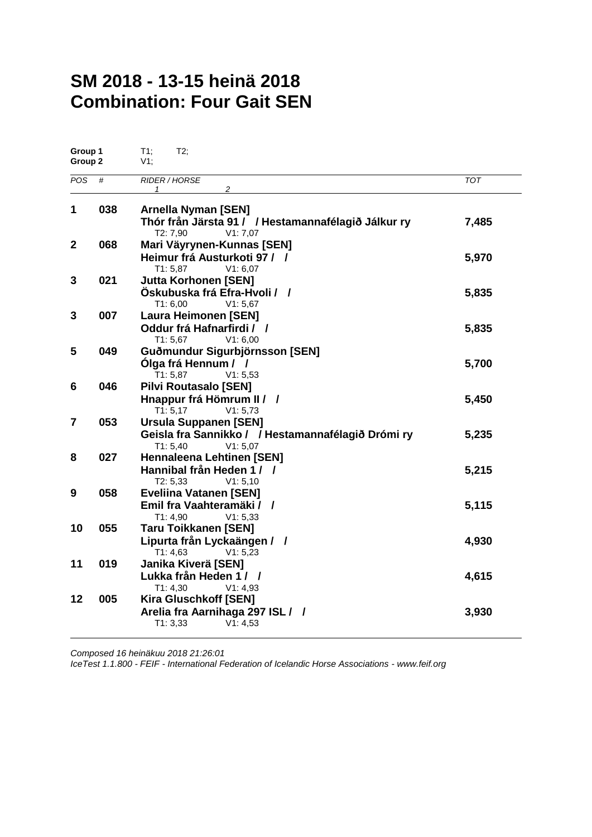# **SM 2018 - 13-15 heinä 2018 Combination: Four Gait SEN**

| Group 1<br>Group 2 |     | T1;<br>T2:<br>$V1$ ;                                                                                       |            |
|--------------------|-----|------------------------------------------------------------------------------------------------------------|------------|
| <b>POS</b>         | #   | <b>RIDER / HORSE</b><br>2<br>1                                                                             | <b>TOT</b> |
| 1                  | 038 | <b>Arnella Nyman [SEN]</b><br>Thór från Järsta 91 / / Hestamannafélagið Jálkur ry                          | 7,485      |
| $\mathbf{2}$       | 068 | T2: 7,90<br>V1:7,07<br>Mari Väyrynen-Kunnas [SEN]<br>Heimur frá Austurkoti 97 / /                          | 5,970      |
| 3                  | 021 | T1: 5,87<br>V1: 6.07<br><b>Jutta Korhonen [SEN]</b><br>Öskubuska frá Efra-Hvoli / /                        | 5,835      |
| 3                  | 007 | T1: 6,00<br>V1: 5.67<br><b>Laura Heimonen [SEN]</b><br>Oddur frá Hafnarfirdi / /<br>T1: 5,67<br>V1: 6,00   | 5,835      |
| 5                  | 049 | Guðmundur Sigurbjörnsson [SEN]<br>Ólga frá Hennum / /<br>T1: 5,87<br>V1: 5,53                              | 5,700      |
| 6                  | 046 | <b>Pilvi Routasalo [SEN]</b><br>Hnappur frá Hömrum II / /<br>T1:5,17<br>V1: 5,73                           | 5,450      |
| $\overline{7}$     | 053 | <b>Ursula Suppanen [SEN]</b><br>Geisla fra Sannikko / / Hestamannafélagið Drómi ry<br>T1: 5,40<br>V1: 5,07 | 5,235      |
| 8                  | 027 | <b>Hennaleena Lehtinen [SEN]</b><br>Hannibal från Heden 1 / /<br>T2: 5,33<br>V1: 5,10                      | 5,215      |
| 9                  | 058 | <b>Eveliina Vatanen [SEN]</b><br>Emil fra Vaahteramäki / /<br>T1: 4,90<br>V1: 5,33                         | 5,115      |
| 10                 | 055 | <b>Taru Toikkanen [SEN]</b><br>Lipurta från Lyckaängen / /<br>V1: 5, 23<br>T1: 4,63                        | 4,930      |
| 11                 | 019 | Janika Kiverä [SEN]<br>Lukka från Heden 1 / /<br>T1: 4,30<br>V1: 4,93                                      | 4,615      |
| 12                 | 005 | <b>Kira Gluschkoff [SEN]</b><br>Arelia fra Aarnihaga 297 ISL / /<br>T1: 3,33<br>V1: 4,53                   | 3,930      |

*Composed 16 heinäkuu 2018 21:26:01*